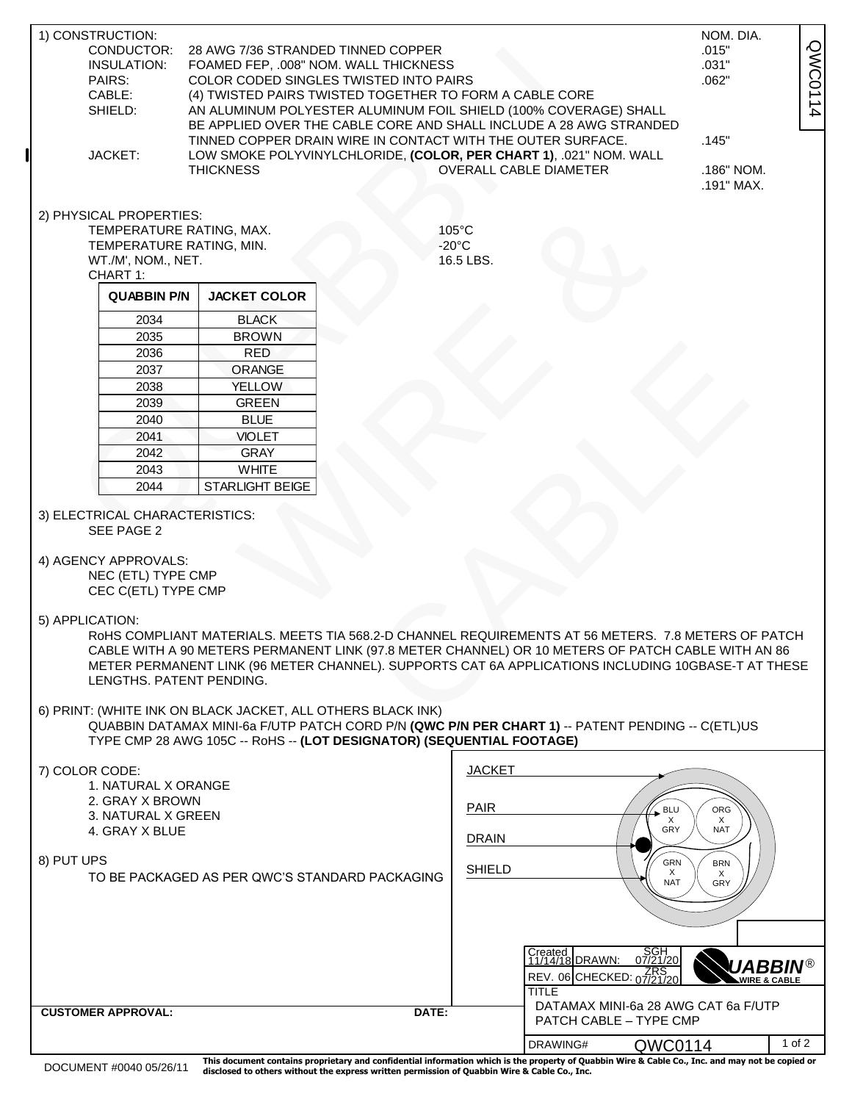| 1) CONSTRUCTION:                                                              |                                                                  |                                                             |                                                                       |                                                                                                    | NOM. DIA.                   |
|-------------------------------------------------------------------------------|------------------------------------------------------------------|-------------------------------------------------------------|-----------------------------------------------------------------------|----------------------------------------------------------------------------------------------------|-----------------------------|
| CONDUCTOR:                                                                    |                                                                  | 28 AWG 7/36 STRANDED TINNED COPPER                          | .015"                                                                 |                                                                                                    |                             |
| INSULATION:<br>FOAMED FEP, .008" NOM. WALL THICKNESS                          |                                                                  |                                                             |                                                                       |                                                                                                    | .031"                       |
| PAIRS:                                                                        | QWC0114<br>.062"                                                 |                                                             |                                                                       |                                                                                                    |                             |
| CABLE:                                                                        |                                                                  |                                                             |                                                                       |                                                                                                    |                             |
| SHIELD:                                                                       | AN ALUMINUM POLYESTER ALUMINUM FOIL SHIELD (100% COVERAGE) SHALL |                                                             |                                                                       |                                                                                                    |                             |
|                                                                               |                                                                  |                                                             |                                                                       | BE APPLIED OVER THE CABLE CORE AND SHALL INCLUDE A 28 AWG STRANDED                                 |                             |
| TINNED COPPER DRAIN WIRE IN CONTACT WITH THE OUTER SURFACE.                   |                                                                  |                                                             |                                                                       |                                                                                                    | .145"                       |
| JACKET:<br>LOW SMOKE POLYVINYLCHLORIDE, (COLOR, PER CHART 1), .021" NOM. WALL |                                                                  |                                                             |                                                                       | <b>OVERALL CABLE DIAMETER</b>                                                                      |                             |
|                                                                               |                                                                  | <b>THICKNESS</b>                                            | .186" NOM.                                                            |                                                                                                    |                             |
|                                                                               |                                                                  |                                                             |                                                                       |                                                                                                    | .191" MAX.                  |
|                                                                               |                                                                  |                                                             |                                                                       |                                                                                                    |                             |
|                                                                               | 2) PHYSICAL PROPERTIES:                                          | TEMPERATURE RATING, MAX.                                    |                                                                       | $105^{\circ}$ C                                                                                    |                             |
|                                                                               | TEMPERATURE RATING, MIN.                                         |                                                             |                                                                       | $-20^{\circ}$ C                                                                                    |                             |
|                                                                               | WT./M', NOM., NET.                                               |                                                             |                                                                       | 16.5 LBS.                                                                                          |                             |
|                                                                               | CHART 1:                                                         |                                                             |                                                                       |                                                                                                    |                             |
|                                                                               | <b>QUABBIN P/N</b>                                               | <b>JACKET COLOR</b>                                         |                                                                       |                                                                                                    |                             |
|                                                                               |                                                                  |                                                             |                                                                       |                                                                                                    |                             |
|                                                                               | 2034                                                             | <b>BLACK</b>                                                |                                                                       |                                                                                                    |                             |
|                                                                               | 2035                                                             | <b>BROWN</b>                                                |                                                                       |                                                                                                    |                             |
|                                                                               | 2036                                                             | <b>RED</b>                                                  |                                                                       |                                                                                                    |                             |
|                                                                               | 2037                                                             | <b>ORANGE</b>                                               |                                                                       |                                                                                                    |                             |
|                                                                               | 2038                                                             | <b>YELLOW</b>                                               |                                                                       |                                                                                                    |                             |
|                                                                               | 2039                                                             | <b>GREEN</b>                                                |                                                                       |                                                                                                    |                             |
|                                                                               | 2040                                                             | <b>BLUE</b>                                                 |                                                                       |                                                                                                    |                             |
|                                                                               | 2041                                                             | <b>VIOLET</b>                                               |                                                                       |                                                                                                    |                             |
|                                                                               | 2042                                                             | <b>GRAY</b>                                                 |                                                                       |                                                                                                    |                             |
|                                                                               | 2043                                                             | <b>WHITE</b>                                                |                                                                       |                                                                                                    |                             |
|                                                                               | 2044                                                             | STARLIGHT BEIGE                                             |                                                                       |                                                                                                    |                             |
|                                                                               |                                                                  |                                                             |                                                                       |                                                                                                    |                             |
|                                                                               | 3) ELECTRICAL CHARACTERISTICS:                                   |                                                             |                                                                       |                                                                                                    |                             |
|                                                                               | SEE PAGE 2                                                       |                                                             |                                                                       |                                                                                                    |                             |
|                                                                               |                                                                  |                                                             |                                                                       |                                                                                                    |                             |
|                                                                               | 4) AGENCY APPROVALS:                                             |                                                             |                                                                       |                                                                                                    |                             |
|                                                                               | NEC (ETL) TYPE CMP                                               |                                                             |                                                                       |                                                                                                    |                             |
|                                                                               | CEC C(ETL) TYPE CMP                                              |                                                             |                                                                       |                                                                                                    |                             |
| 5) APPLICATION:                                                               |                                                                  |                                                             |                                                                       |                                                                                                    |                             |
|                                                                               |                                                                  |                                                             |                                                                       | RoHS COMPLIANT MATERIALS. MEETS TIA 568.2-D CHANNEL REQUIREMENTS AT 56 METERS. 7.8 METERS OF PATCH |                             |
|                                                                               |                                                                  |                                                             |                                                                       | CABLE WITH A 90 METERS PERMANENT LINK (97.8 METER CHANNEL) OR 10 METERS OF PATCH CABLE WITH AN 86  |                             |
|                                                                               |                                                                  |                                                             |                                                                       | METER PERMANENT LINK (96 METER CHANNEL). SUPPORTS CAT 6A APPLICATIONS INCLUDING 10GBASE-T AT THESE |                             |
|                                                                               | LENGTHS, PATENT PENDING.                                         |                                                             |                                                                       |                                                                                                    |                             |
|                                                                               |                                                                  |                                                             |                                                                       |                                                                                                    |                             |
|                                                                               |                                                                  | 6) PRINT: (WHITE INK ON BLACK JACKET, ALL OTHERS BLACK INK) |                                                                       |                                                                                                    |                             |
|                                                                               |                                                                  |                                                             |                                                                       | QUABBIN DATAMAX MINI-6a F/UTP PATCH CORD P/N (QWC P/N PER CHART 1) -- PATENT PENDING -- C(ETL)US   |                             |
|                                                                               |                                                                  |                                                             | TYPE CMP 28 AWG 105C -- RoHS -- (LOT DESIGNATOR) (SEQUENTIAL FOOTAGE) |                                                                                                    |                             |
|                                                                               |                                                                  |                                                             |                                                                       |                                                                                                    |                             |
| 7) COLOR CODE:                                                                |                                                                  |                                                             |                                                                       | <b>JACKET</b>                                                                                      |                             |
| 1. NATURAL X ORANGE<br>2. GRAY X BROWN                                        |                                                                  |                                                             |                                                                       |                                                                                                    |                             |
| 3. NATURAL X GREEN                                                            |                                                                  |                                                             |                                                                       | <b>PAIR</b>                                                                                        | $\leq$ BLU<br>ORG           |
| 4. GRAY X BLUE                                                                |                                                                  |                                                             |                                                                       |                                                                                                    | X<br>X<br>GRY<br><b>NAT</b> |
|                                                                               |                                                                  |                                                             |                                                                       | <b>DRAIN</b>                                                                                       |                             |
| 8) PUT UPS                                                                    |                                                                  |                                                             |                                                                       |                                                                                                    | GRN<br><b>BRN</b>           |
| TO BE PACKAGED AS PER QWC'S STANDARD PACKAGING                                |                                                                  |                                                             |                                                                       | <b>SHIELD</b>                                                                                      | X<br>X                      |
|                                                                               |                                                                  |                                                             |                                                                       | <b>NAT</b><br>GRY                                                                                  |                             |

DRAWING# **QWC0114** 1 of 2 DOCUMENT #0040 05/26/11 This document contains proprietary and confidential information which is the property of Quabbin Wire & Cable Co., Inc. and may not be copied or disclosed to others without the express written permission of Quabbin Wire &

**CUSTOMER APPROVAL: DATE:**

**TITLE** 

REV. 06 CHECKED: 07/21/20

PATCH CABLE – TYPE CMP

SGH 07/21/20 **T1714/18 DRAWN: 07/21/20 WIRE & CABLE**<br>REV. 06 CHECKED: 07/21/20 WIRE & CABLE

DATAMAX MINI-6a 28 AWG CAT 6a F/UTP

Created<br>11/14/18 DRAWN: